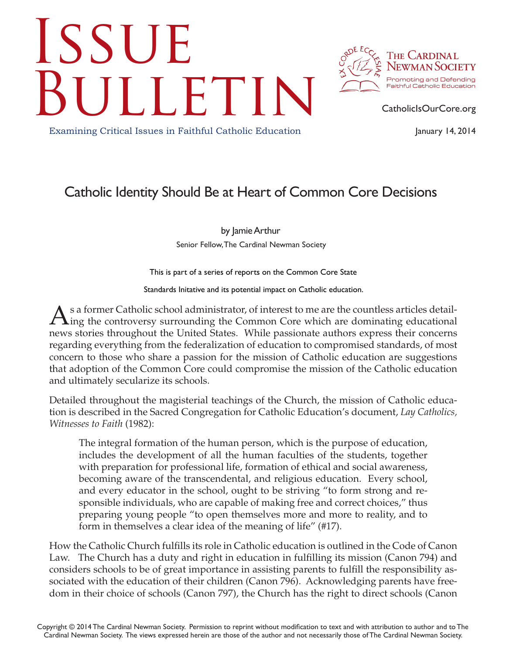## **ISSUE** CatholicIsOurCore.org



January 14, 2014

Examining Critical Issues in Faithful Catholic Education

## Catholic Identity Should Be at Heart of Common Core Decisions

by Jamie Arthur Senior Fellow, The Cardinal Newman Society

This is part of a series of reports on the Common Core State

Standards Initative and its potential impact on Catholic education.

As a former Catholic school administrator, of interest to me are the countless articles detail-<br>ing the controversy surrounding the Common Core which are dominating educational news stories throughout the United States. While passionate authors express their concerns regarding everything from the federalization of education to compromised standards, of most concern to those who share a passion for the mission of Catholic education are suggestions that adoption of the Common Core could compromise the mission of the Catholic education and ultimately secularize its schools.

Detailed throughout the magisterial teachings of the Church, the mission of Catholic education is described in the Sacred Congregation for Catholic Education's document, *Lay Catholics, Witnesses to Faith* (1982):

The integral formation of the human person, which is the purpose of education, includes the development of all the human faculties of the students, together with preparation for professional life, formation of ethical and social awareness, becoming aware of the transcendental, and religious education. Every school, and every educator in the school, ought to be striving "to form strong and responsible individuals, who are capable of making free and correct choices," thus preparing young people "to open themselves more and more to reality, and to form in themselves a clear idea of the meaning of life" (#17).

How the Catholic Church fulfills its role in Catholic education is outlined in the Code of Canon Law. The Church has a duty and right in education in fulfilling its mission (Canon 794) and considers schools to be of great importance in assisting parents to fulfill the responsibility associated with the education of their children (Canon 796). Acknowledging parents have freedom in their choice of schools (Canon 797), the Church has the right to direct schools (Canon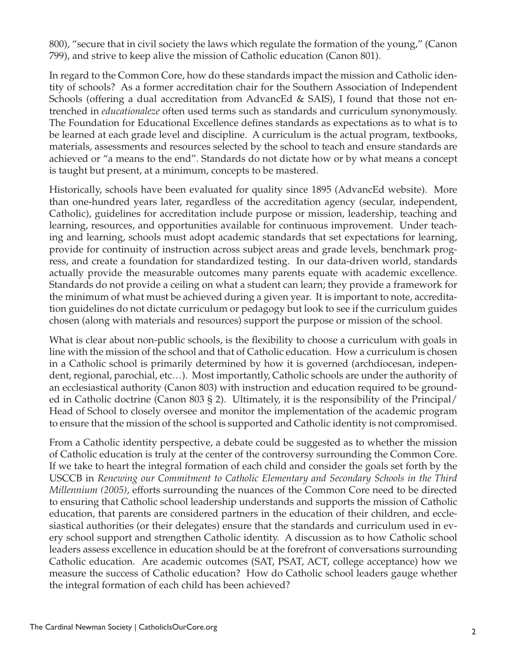800), "secure that in civil society the laws which regulate the formation of the young," (Canon 799), and strive to keep alive the mission of Catholic education (Canon 801).

In regard to the Common Core, how do these standards impact the mission and Catholic identity of schools? As a former accreditation chair for the Southern Association of Independent Schools (offering a dual accreditation from AdvancEd & SAIS), I found that those not entrenched in *educationaleze* often used terms such as standards and curriculum synonymously. The Foundation for Educational Excellence defines standards as expectations as to what is to be learned at each grade level and discipline. A curriculum is the actual program, textbooks, materials, assessments and resources selected by the school to teach and ensure standards are achieved or "a means to the end". Standards do not dictate how or by what means a concept is taught but present, at a minimum, concepts to be mastered.

Historically, schools have been evaluated for quality since 1895 (AdvancEd website). More than one-hundred years later, regardless of the accreditation agency (secular, independent, Catholic), guidelines for accreditation include purpose or mission, leadership, teaching and learning, resources, and opportunities available for continuous improvement. Under teaching and learning, schools must adopt academic standards that set expectations for learning, provide for continuity of instruction across subject areas and grade levels, benchmark progress, and create a foundation for standardized testing. In our data-driven world, standards actually provide the measurable outcomes many parents equate with academic excellence. Standards do not provide a ceiling on what a student can learn; they provide a framework for the minimum of what must be achieved during a given year. It is important to note, accreditation guidelines do not dictate curriculum or pedagogy but look to see if the curriculum guides chosen (along with materials and resources) support the purpose or mission of the school.

What is clear about non-public schools, is the flexibility to choose a curriculum with goals in line with the mission of the school and that of Catholic education. How a curriculum is chosen in a Catholic school is primarily determined by how it is governed (archdiocesan, independent, regional, parochial, etc…). Most importantly, Catholic schools are under the authority of an ecclesiastical authority (Canon 803) with instruction and education required to be grounded in Catholic doctrine (Canon 803 § 2). Ultimately, it is the responsibility of the Principal/ Head of School to closely oversee and monitor the implementation of the academic program to ensure that the mission of the school is supported and Catholic identity is not compromised.

From a Catholic identity perspective, a debate could be suggested as to whether the mission of Catholic education is truly at the center of the controversy surrounding the Common Core. If we take to heart the integral formation of each child and consider the goals set forth by the USCCB in *Renewing our Commitment to Catholic Elementary and Secondary Schools in the Third Millennium (2005)*, efforts surrounding the nuances of the Common Core need to be directed to ensuring that Catholic school leadership understands and supports the mission of Catholic education, that parents are considered partners in the education of their children, and ecclesiastical authorities (or their delegates) ensure that the standards and curriculum used in every school support and strengthen Catholic identity. A discussion as to how Catholic school leaders assess excellence in education should be at the forefront of conversations surrounding Catholic education. Are academic outcomes (SAT, PSAT, ACT, college acceptance) how we measure the success of Catholic education? How do Catholic school leaders gauge whether the integral formation of each child has been achieved?